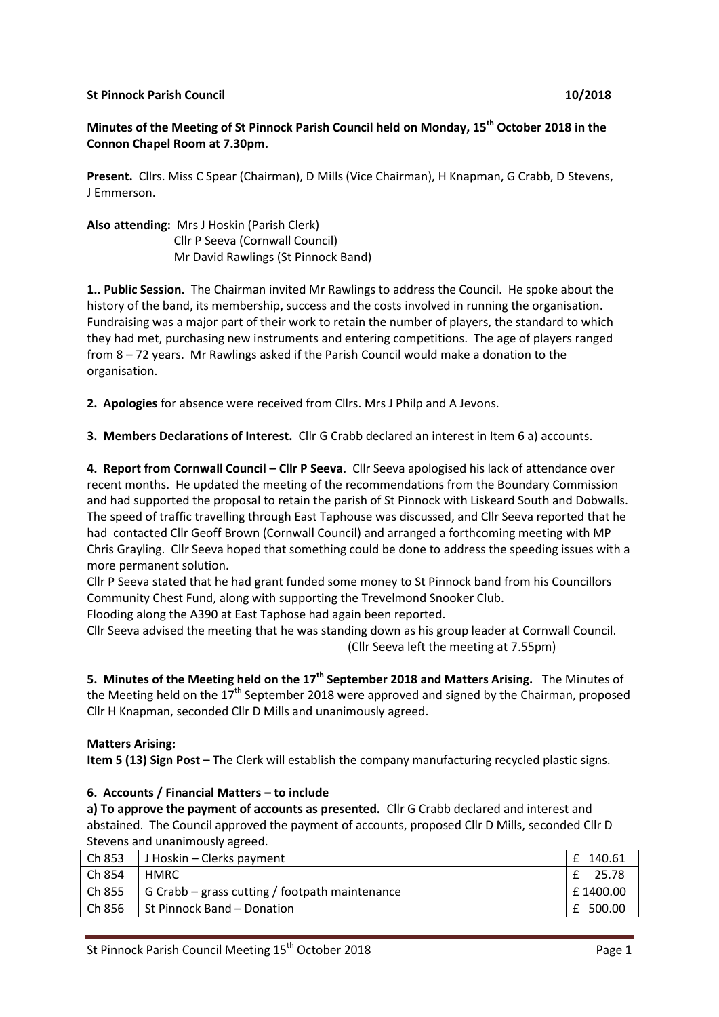### **St Pinnock Parish Council 10/2018**

# **Minutes of the Meeting of St Pinnock Parish Council held on Monday, 15th October 2018 in the Connon Chapel Room at 7.30pm.**

**Present.** Cllrs. Miss C Spear (Chairman), D Mills (Vice Chairman), H Knapman, G Crabb, D Stevens, J Emmerson.

**Also attending:** Mrs J Hoskin (Parish Clerk) Cllr P Seeva (Cornwall Council) Mr David Rawlings (St Pinnock Band)

**1.. Public Session.** The Chairman invited Mr Rawlings to address the Council. He spoke about the history of the band, its membership, success and the costs involved in running the organisation. Fundraising was a major part of their work to retain the number of players, the standard to which they had met, purchasing new instruments and entering competitions. The age of players ranged from 8 – 72 years. Mr Rawlings asked if the Parish Council would make a donation to the organisation.

**2. Apologies** for absence were received from Cllrs. Mrs J Philp and A Jevons.

**3. Members Declarations of Interest.** Cllr G Crabb declared an interest in Item 6 a) accounts.

**4. Report from Cornwall Council – Cllr P Seeva.** Cllr Seeva apologised his lack of attendance over recent months. He updated the meeting of the recommendations from the Boundary Commission and had supported the proposal to retain the parish of St Pinnock with Liskeard South and Dobwalls. The speed of traffic travelling through East Taphouse was discussed, and Cllr Seeva reported that he had contacted Cllr Geoff Brown (Cornwall Council) and arranged a forthcoming meeting with MP Chris Grayling. Cllr Seeva hoped that something could be done to address the speeding issues with a more permanent solution.

Cllr P Seeva stated that he had grant funded some money to St Pinnock band from his Councillors Community Chest Fund, along with supporting the Trevelmond Snooker Club.

Flooding along the A390 at East Taphose had again been reported.

Cllr Seeva advised the meeting that he was standing down as his group leader at Cornwall Council. (Cllr Seeva left the meeting at 7.55pm)

**5. Minutes of the Meeting held on the 17th September 2018 and Matters Arising.** The Minutes of the Meeting held on the 17<sup>th</sup> September 2018 were approved and signed by the Chairman, proposed Cllr H Knapman, seconded Cllr D Mills and unanimously agreed.

## **Matters Arising:**

**Item 5 (13) Sign Post** – The Clerk will establish the company manufacturing recycled plastic signs.

### **6. Accounts / Financial Matters – to include**

**a) To approve the payment of accounts as presented.** Cllr G Crabb declared and interest and abstained. The Council approved the payment of accounts, proposed Cllr D Mills, seconded Cllr D Stevens and unanimously agreed.

| Ch 853 | J Hoskin – Clerks payment                      | 140.61   |  |
|--------|------------------------------------------------|----------|--|
| Ch 854 | <b>HMRC</b>                                    | 25.78    |  |
| Ch 855 | G Crabb - grass cutting / footpath maintenance | £1400.00 |  |
| Ch 856 | l St Pinnock Band – Donation                   | 500.00   |  |
|        |                                                |          |  |